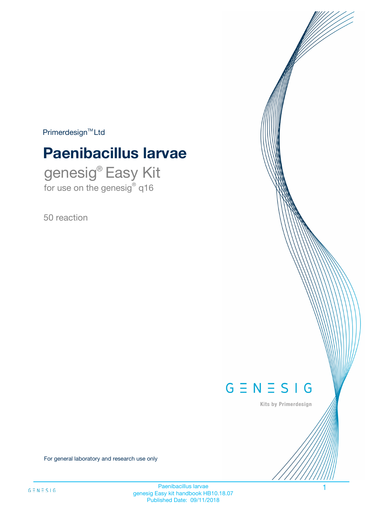$Primerdesign^{\text{TM}}Ltd$ 

# **Paenibacillus larvae**

genesig® Easy Kit for use on the genesig® q16

50 reaction



Kits by Primerdesign

For general laboratory and research use only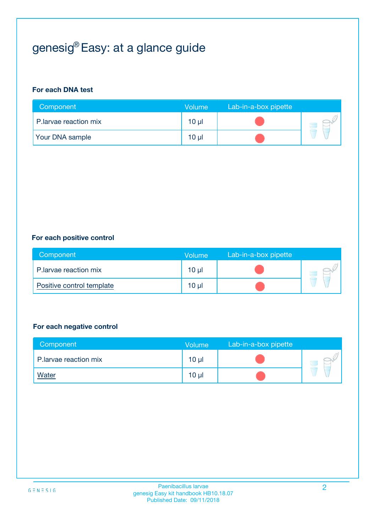## genesig® Easy: at a glance guide

#### **For each DNA test**

| Component              | <b>Volume</b> | Lab-in-a-box pipette |  |
|------------------------|---------------|----------------------|--|
| P. larvae reaction mix | 10 µl         |                      |  |
| <b>Your DNA sample</b> | $10 \mu$      |                      |  |

#### **For each positive control**

| Component                 | Volume          | Lab-in-a-box pipette |  |
|---------------------------|-----------------|----------------------|--|
| P.larvae reaction mix     | 10 µl           |                      |  |
| Positive control template | 10 <sub>µ</sub> |                      |  |

#### **For each negative control**

| Component              | Volume          | Lab-in-a-box pipette |  |
|------------------------|-----------------|----------------------|--|
| P. larvae reaction mix | 10 <sub>µ</sub> |                      |  |
| <b>Water</b>           | 10 <sub>µ</sub> |                      |  |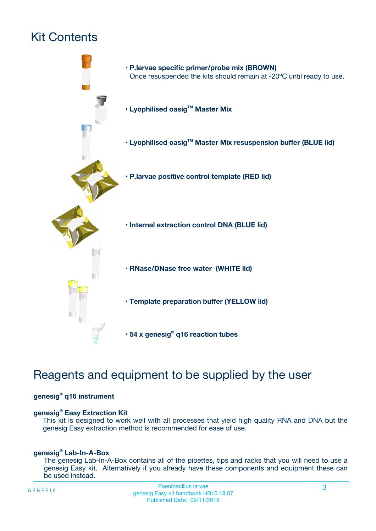## Kit Contents



## Reagents and equipment to be supplied by the user

#### **genesig® q16 instrument**

#### **genesig® Easy Extraction Kit**

This kit is designed to work well with all processes that yield high quality RNA and DNA but the genesig Easy extraction method is recommended for ease of use.

#### **genesig® Lab-In-A-Box**

The genesig Lab-In-A-Box contains all of the pipettes, tips and racks that you will need to use a genesig Easy kit. Alternatively if you already have these components and equipment these can be used instead.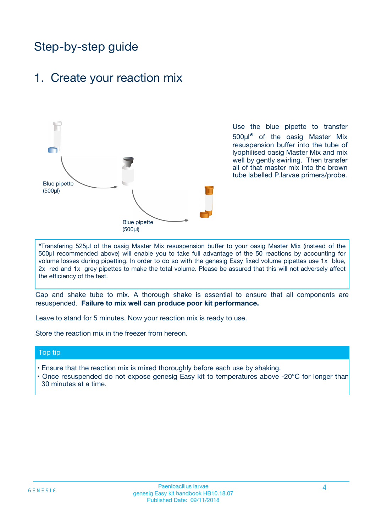## Step-by-step guide

### 1. Create your reaction mix



Use the blue pipette to transfer 500µl**\*** of the oasig Master Mix resuspension buffer into the tube of lyophilised oasig Master Mix and mix well by gently swirling. Then transfer all of that master mix into the brown tube labelled P.larvae primers/probe.

**\***Transfering 525µl of the oasig Master Mix resuspension buffer to your oasig Master Mix (instead of the 500µl recommended above) will enable you to take full advantage of the 50 reactions by accounting for volume losses during pipetting. In order to do so with the genesig Easy fixed volume pipettes use 1x blue, 2x red and 1x grey pipettes to make the total volume. Please be assured that this will not adversely affect the efficiency of the test.

Cap and shake tube to mix. A thorough shake is essential to ensure that all components are resuspended. **Failure to mix well can produce poor kit performance.**

Leave to stand for 5 minutes. Now your reaction mix is ready to use.

Store the reaction mix in the freezer from hereon.

#### Top tip

- Ensure that the reaction mix is mixed thoroughly before each use by shaking.
- **•** Once resuspended do not expose genesig Easy kit to temperatures above -20°C for longer than 30 minutes at a time.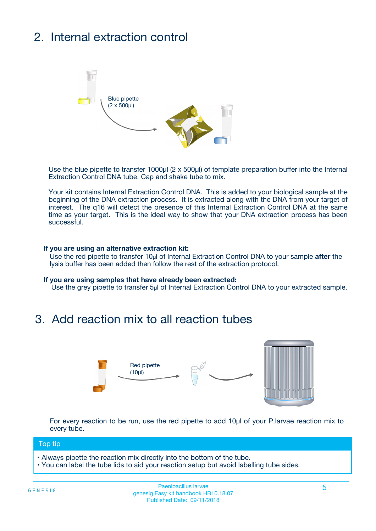## 2. Internal extraction control



Use the blue pipette to transfer 1000µl (2 x 500µl) of template preparation buffer into the Internal Extraction Control DNA tube. Cap and shake tube to mix.

Your kit contains Internal Extraction Control DNA. This is added to your biological sample at the beginning of the DNA extraction process. It is extracted along with the DNA from your target of interest. The q16 will detect the presence of this Internal Extraction Control DNA at the same time as your target. This is the ideal way to show that your DNA extraction process has been **successful.** 

#### **If you are using an alternative extraction kit:**

Use the red pipette to transfer 10µl of Internal Extraction Control DNA to your sample **after** the lysis buffer has been added then follow the rest of the extraction protocol.

#### **If you are using samples that have already been extracted:**

Use the grey pipette to transfer 5µl of Internal Extraction Control DNA to your extracted sample.

### 3. Add reaction mix to all reaction tubes



For every reaction to be run, use the red pipette to add 10µl of your P.larvae reaction mix to every tube.

#### Top tip

- Always pipette the reaction mix directly into the bottom of the tube.
- You can label the tube lids to aid your reaction setup but avoid labelling tube sides.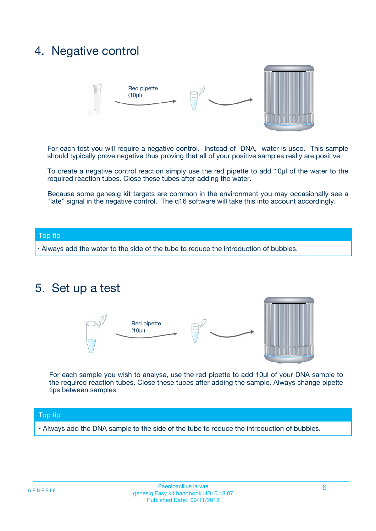### 4. Negative control



For each test you will require a negative control. Instead of DNA, water is used. This sample should typically prove negative thus proving that all of your positive samples really are positive.

To create a negative control reaction simply use the red pipette to add 10µl of the water to the required reaction tubes. Close these tubes after adding the water.

Because some genesig kit targets are common in the environment you may occasionally see a "late" signal in the negative control. The q16 software will take this into account accordingly.

#### Top tip

**•** Always add the water to the side of the tube to reduce the introduction of bubbles.

### 5. Set up a test



For each sample you wish to analyse, use the red pipette to add 10µl of your DNA sample to the required reaction tubes. Close these tubes after adding the sample. Always change pipette tips between samples.

#### Top tip

**•** Always add the DNA sample to the side of the tube to reduce the introduction of bubbles.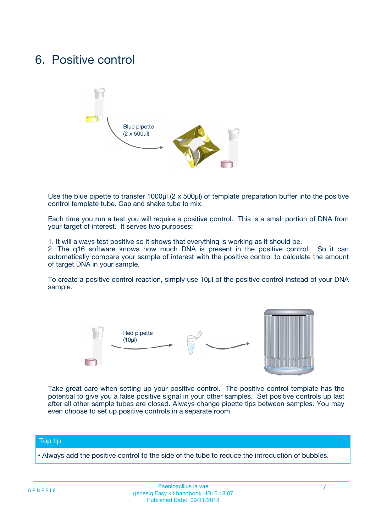### 6. Positive control



Use the blue pipette to transfer 1000µl (2 x 500µl) of template preparation buffer into the positive control template tube. Cap and shake tube to mix.

Each time you run a test you will require a positive control. This is a small portion of DNA from your target of interest. It serves two purposes:

1. It will always test positive so it shows that everything is working as it should be.

2. The q16 software knows how much DNA is present in the positive control. So it can automatically compare your sample of interest with the positive control to calculate the amount of target DNA in your sample.

To create a positive control reaction, simply use 10µl of the positive control instead of your DNA sample.



Take great care when setting up your positive control. The positive control template has the potential to give you a false positive signal in your other samples. Set positive controls up last after all other sample tubes are closed. Always change pipette tips between samples. You may even choose to set up positive controls in a separate room.

#### Top tip

**•** Always add the positive control to the side of the tube to reduce the introduction of bubbles.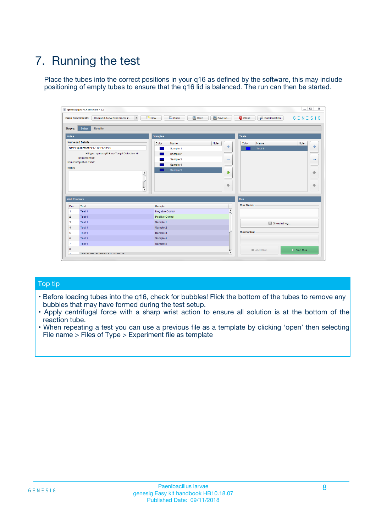## 7. Running the test

Place the tubes into the correct positions in your q16 as defined by the software, this may include positioning of empty tubes to ensure that the q16 lid is balanced. The run can then be started.

| genesig q16 PCR software - 1.2                                               |                                     | $\Box$                                                                                  |
|------------------------------------------------------------------------------|-------------------------------------|-----------------------------------------------------------------------------------------|
| Unsaved (New Experiment 2<br>$\vert \cdot \vert$<br><b>Open Experiments:</b> | <b>D</b> Open<br>Save<br>$\Box$ New | Save As<br><b>C</b> Close<br>$G \equiv N \equiv S \mid G$<br><b>&amp; Configuration</b> |
| Setup<br><b>Results</b><br><b>Stages:</b>                                    |                                     |                                                                                         |
| <b>Notes</b>                                                                 | Samples                             | <b>Tests</b>                                                                            |
| <b>Name and Details</b>                                                      | Color<br>Name                       | Note<br>Color<br>Note<br>Name                                                           |
| New Experiment 2017-10-26 11:06                                              | Sample 1                            | ع<br>条<br>Test 1                                                                        |
| Kit type: genesig® Easy Target Detection kit                                 | Sample 2                            |                                                                                         |
| Instrument Id.:                                                              | Sample 3                            | $\qquad \qquad \blacksquare$<br>$\qquad \qquad \blacksquare$                            |
| Run Completion Time:                                                         | Sample 4                            |                                                                                         |
| <b>Notes</b>                                                                 | Sample 5<br>A<br>v                  | $\triangle$<br>4<br>$\oplus$<br>₩                                                       |
| <b>Well Contents</b>                                                         |                                     | <b>Run</b>                                                                              |
| Pos.<br>Test                                                                 | Sample                              | <b>Run Status</b>                                                                       |
| Test 1<br>-1                                                                 | <b>Negative Control</b>             | $\blacktriangle$                                                                        |
| $\overline{2}$<br>Test 1                                                     | <b>Positive Control</b>             |                                                                                         |
| $\overline{\mathbf{3}}$<br>Test 1                                            | Sample 1                            | Show full log                                                                           |
| Test 1<br>$\overline{4}$                                                     | Sample 2                            |                                                                                         |
| 5<br>Test 1                                                                  | Sample 3                            | <b>Run Control</b>                                                                      |
| 6<br>Test 1                                                                  | Sample 4                            |                                                                                         |
| $\overline{7}$<br>Test 1                                                     | Sample 5                            |                                                                                         |
| 8                                                                            |                                     | $\triangleright$ Start Run<br>Abort Run                                                 |
| <b>JOD FURTY TUDE TO BUILDED IN</b>                                          |                                     | $\overline{\mathbf{v}}$                                                                 |

#### Top tip

- Before loading tubes into the q16, check for bubbles! Flick the bottom of the tubes to remove any bubbles that may have formed during the test setup.
- Apply centrifugal force with a sharp wrist action to ensure all solution is at the bottom of the reaction tube.
- When repeating a test you can use a previous file as a template by clicking 'open' then selecting File name > Files of Type > Experiment file as template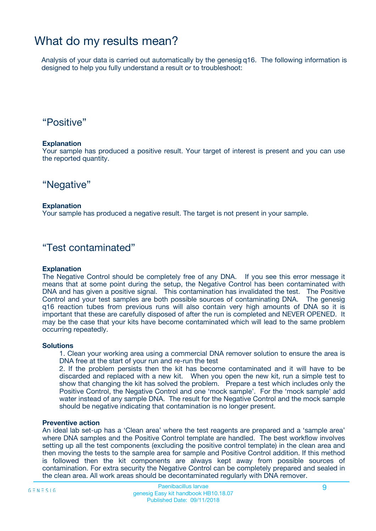### What do my results mean?

Analysis of your data is carried out automatically by the genesig q16. The following information is designed to help you fully understand a result or to troubleshoot:

### "Positive"

#### **Explanation**

Your sample has produced a positive result. Your target of interest is present and you can use the reported quantity.

"Negative"

#### **Explanation**

Your sample has produced a negative result. The target is not present in your sample.

### "Test contaminated"

#### **Explanation**

The Negative Control should be completely free of any DNA. If you see this error message it means that at some point during the setup, the Negative Control has been contaminated with DNA and has given a positive signal. This contamination has invalidated the test. The Positive Control and your test samples are both possible sources of contaminating DNA. The genesig q16 reaction tubes from previous runs will also contain very high amounts of DNA so it is important that these are carefully disposed of after the run is completed and NEVER OPENED. It may be the case that your kits have become contaminated which will lead to the same problem occurring repeatedly.

#### **Solutions**

1. Clean your working area using a commercial DNA remover solution to ensure the area is DNA free at the start of your run and re-run the test

2. If the problem persists then the kit has become contaminated and it will have to be discarded and replaced with a new kit. When you open the new kit, run a simple test to show that changing the kit has solved the problem. Prepare a test which includes only the Positive Control, the Negative Control and one 'mock sample'. For the 'mock sample' add water instead of any sample DNA. The result for the Negative Control and the mock sample should be negative indicating that contamination is no longer present.

#### **Preventive action**

An ideal lab set-up has a 'Clean area' where the test reagents are prepared and a 'sample area' where DNA samples and the Positive Control template are handled. The best workflow involves setting up all the test components (excluding the positive control template) in the clean area and then moving the tests to the sample area for sample and Positive Control addition. If this method is followed then the kit components are always kept away from possible sources of contamination. For extra security the Negative Control can be completely prepared and sealed in the clean area. All work areas should be decontaminated regularly with DNA remover.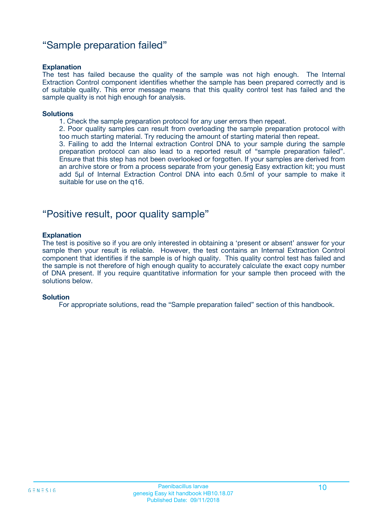### "Sample preparation failed"

#### **Explanation**

The test has failed because the quality of the sample was not high enough. The Internal Extraction Control component identifies whether the sample has been prepared correctly and is of suitable quality. This error message means that this quality control test has failed and the sample quality is not high enough for analysis.

#### **Solutions**

- 1. Check the sample preparation protocol for any user errors then repeat.
- 2. Poor quality samples can result from overloading the sample preparation protocol with too much starting material. Try reducing the amount of starting material then repeat.

3. Failing to add the Internal extraction Control DNA to your sample during the sample preparation protocol can also lead to a reported result of "sample preparation failed". Ensure that this step has not been overlooked or forgotten. If your samples are derived from an archive store or from a process separate from your genesig Easy extraction kit; you must add 5µl of Internal Extraction Control DNA into each 0.5ml of your sample to make it suitable for use on the q16.

### "Positive result, poor quality sample"

#### **Explanation**

The test is positive so if you are only interested in obtaining a 'present or absent' answer for your sample then your result is reliable. However, the test contains an Internal Extraction Control component that identifies if the sample is of high quality. This quality control test has failed and the sample is not therefore of high enough quality to accurately calculate the exact copy number of DNA present. If you require quantitative information for your sample then proceed with the solutions below.

#### **Solution**

For appropriate solutions, read the "Sample preparation failed" section of this handbook.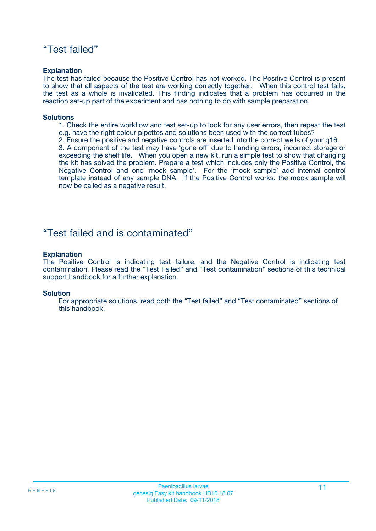### "Test failed"

#### **Explanation**

The test has failed because the Positive Control has not worked. The Positive Control is present to show that all aspects of the test are working correctly together. When this control test fails, the test as a whole is invalidated. This finding indicates that a problem has occurred in the reaction set-up part of the experiment and has nothing to do with sample preparation.

#### **Solutions**

- 1. Check the entire workflow and test set-up to look for any user errors, then repeat the test e.g. have the right colour pipettes and solutions been used with the correct tubes?
- 2. Ensure the positive and negative controls are inserted into the correct wells of your q16.

3. A component of the test may have 'gone off' due to handing errors, incorrect storage or exceeding the shelf life. When you open a new kit, run a simple test to show that changing the kit has solved the problem. Prepare a test which includes only the Positive Control, the Negative Control and one 'mock sample'. For the 'mock sample' add internal control template instead of any sample DNA. If the Positive Control works, the mock sample will now be called as a negative result.

### "Test failed and is contaminated"

#### **Explanation**

The Positive Control is indicating test failure, and the Negative Control is indicating test contamination. Please read the "Test Failed" and "Test contamination" sections of this technical support handbook for a further explanation.

#### **Solution**

For appropriate solutions, read both the "Test failed" and "Test contaminated" sections of this handbook.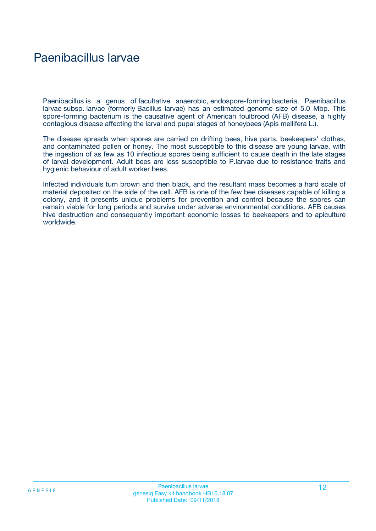### Paenibacillus larvae

Paenibacillus is a genus of facultative anaerobic, endospore-forming bacteria. Paenibacillus larvae subsp. larvae (formerly Bacillus larvae) has an estimated genome size of 5.0 Mbp. This spore-forming bacterium is the causative agent of American foulbrood (AFB) disease, a highly contagious disease affecting the larval and pupal stages of honeybees (Apis mellifera L.).

The disease spreads when spores are carried on drifting bees, hive parts, beekeepers' clothes, and contaminated pollen or honey. The most susceptible to this disease are young larvae, with the ingestion of as few as 10 infectious spores being sufficient to cause death in the late stages of larval development. Adult bees are less susceptible to P.larvae due to resistance traits and hygienic behaviour of adult worker bees.

Infected individuals turn brown and then black, and the resultant mass becomes a hard scale of material deposited on the side of the cell. AFB is one of the few bee diseases capable of killing a colony, and it presents unique problems for prevention and control because the spores can remain viable for long periods and survive under adverse environmental conditions. AFB causes hive destruction and consequently important economic losses to beekeepers and to apiculture worldwide.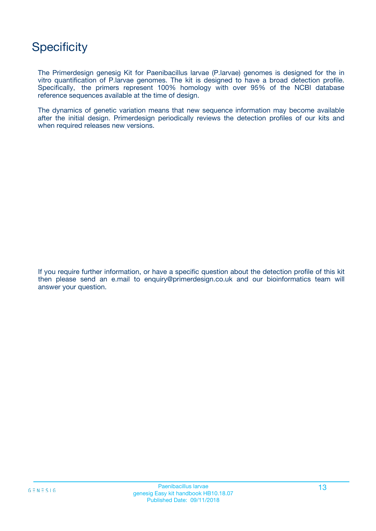## **Specificity**

The Primerdesign genesig Kit for Paenibacillus larvae (P.larvae) genomes is designed for the in vitro quantification of P.larvae genomes. The kit is designed to have a broad detection profile. Specifically, the primers represent 100% homology with over 95% of the NCBI database reference sequences available at the time of design.

The dynamics of genetic variation means that new sequence information may become available after the initial design. Primerdesign periodically reviews the detection profiles of our kits and when required releases new versions.

If you require further information, or have a specific question about the detection profile of this kit then please send an e.mail to enquiry@primerdesign.co.uk and our bioinformatics team will answer your question.